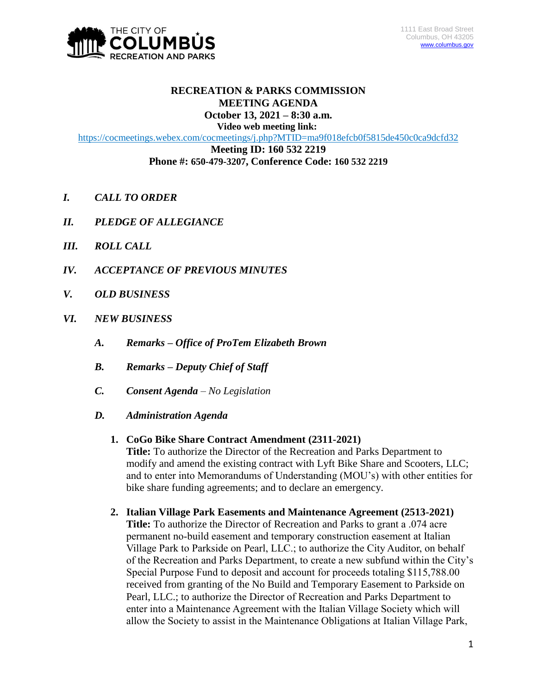

## **RECREATION & PARKS COMMISSION MEETING AGENDA October 13, 2021 – 8:30 a.m.**

**Video web meeting link:**

<https://cocmeetings.webex.com/cocmeetings/j.php?MTID=ma9f018efcb0f5815de450c0ca9dcfd32>

**Meeting ID: 160 532 2219 Phone #: 650-479-3207, Conference Code: 160 532 2219**

- *I. CALL TO ORDER*
- *II. PLEDGE OF ALLEGIANCE*
- *III. ROLL CALL*
- *IV. ACCEPTANCE OF PREVIOUS MINUTES*
- *V. OLD BUSINESS*
- *VI. NEW BUSINESS*
	- *A. Remarks – Office of ProTem Elizabeth Brown*
	- *B. Remarks – Deputy Chief of Staff*
	- *C. Consent Agenda – No Legislation*
	- *D. Administration Agenda*

#### **1. CoGo Bike Share Contract Amendment (2311-2021)**

**Title:** To authorize the Director of the Recreation and Parks Department to modify and amend the existing contract with Lyft Bike Share and Scooters, LLC; and to enter into Memorandums of Understanding (MOU's) with other entities for bike share funding agreements; and to declare an emergency.

**2. Italian Village Park Easements and Maintenance Agreement (2513-2021)**

**Title:** To authorize the Director of Recreation and Parks to grant a .074 acre permanent no-build easement and temporary construction easement at Italian Village Park to Parkside on Pearl, LLC.; to authorize the City Auditor, on behalf of the Recreation and Parks Department, to create a new subfund within the City's Special Purpose Fund to deposit and account for proceeds totaling \$115,788.00 received from granting of the No Build and Temporary Easement to Parkside on Pearl, LLC.; to authorize the Director of Recreation and Parks Department to enter into a Maintenance Agreement with the Italian Village Society which will allow the Society to assist in the Maintenance Obligations at Italian Village Park,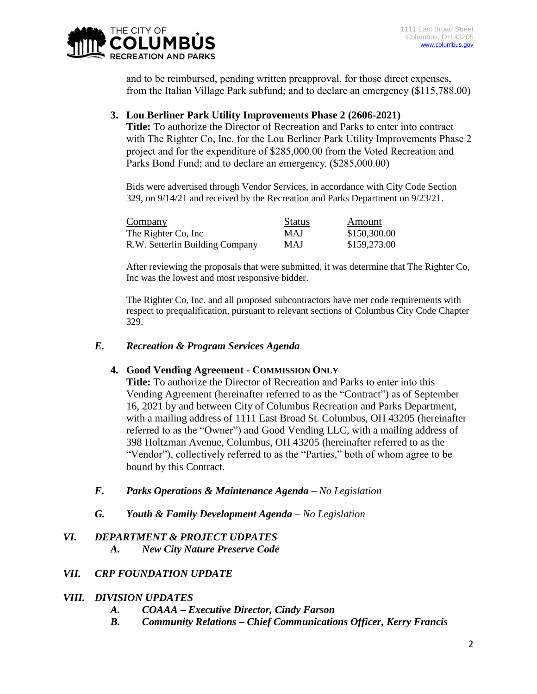

and to be reimbursed, pending written preapproval, for those direct expenses, from the Italian Village Park subfund; and to declare an emergency (\$115,788.00)

# **3. Lou Berliner Park Utility Improvements Phase 2 (2606-2021)**

**Title:** To authorize the Director of Recreation and Parks to enter into contract with The Righter Co, Inc. for the Lou Berliner Park Utility Improvements Phase 2 project and for the expenditure of \$285,000.00 from the Voted Recreation and Parks Bond Fund; and to declare an emergency. (\$285,000.00)

Bids were advertised through Vendor Services, in accordance with City Code Section 329, on 9/14/21 and received by the Recreation and Parks Department on 9/23/21.

| Company                         | <b>Status</b> | Amount       |
|---------------------------------|---------------|--------------|
| The Righter Co, Inc.            | <b>MAJ</b>    | \$150,300.00 |
| R.W. Setterlin Building Company | MAJ           | \$159,273.00 |

After reviewing the proposals that were submitted, it was determine that The Righter Co, Inc was the lowest and most responsive bidder.

The Righter Co, Inc. and all proposed subcontractors have met code requirements with respect to prequalification, pursuant to relevant sections of Columbus City Code Chapter 329.

#### *E. Recreation & Program Services Agenda*

#### **4. Good Vending Agreement - COMMISSION ONLY**

**Title:** To authorize the Director of Recreation and Parks to enter into this Vending Agreement (hereinafter referred to as the "Contract") as of September 16, 2021 by and between City of Columbus Recreation and Parks Department, with a mailing address of 1111 East Broad St. Columbus, OH 43205 (hereinafter referred to as the "Owner") and Good Vending LLC, with a mailing address of 398 Holtzman Avenue, Columbus, OH 43205 (hereinafter referred to as the "Vendor"), collectively referred to as the "Parties," both of whom agree to be bound by this Contract.

## *F. Parks Operations & Maintenance Agenda – No Legislation*

*G. Youth & Family Development Agenda – No Legislation*

# *VI. DEPARTMENT & PROJECT UDPATES*

*A. New City Nature Preserve Code*

## *VII. CRP FOUNDATION UPDATE*

### *VIII. DIVISION UPDATES*

- *A. COAAA – Executive Director, Cindy Farson*
- *B. Community Relations – Chief Communications Officer, Kerry Francis*